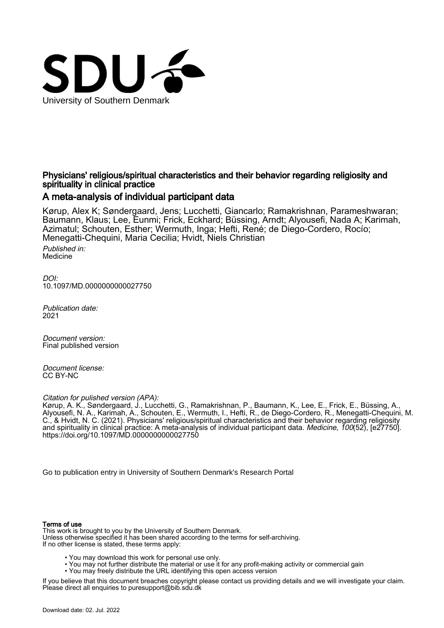

# Physicians' religious/spiritual characteristics and their behavior regarding religiosity and spirituality in clinical practice

# A meta-analysis of individual participant data

Kørup, Alex K; Søndergaard, Jens; Lucchetti, Giancarlo; Ramakrishnan, Parameshwaran; Baumann, Klaus; Lee, Eunmi; Frick, Eckhard; Büssing, Arndt; Alyousefi, Nada A; Karimah, Azimatul; Schouten, Esther; Wermuth, Inga; Hefti, René; de Diego-Cordero, Rocío; Menegatti-Chequini, Maria Cecilia; Hvidt, Niels Christian Published in: Medicine

DOI: [10.1097/MD.0000000000027750](https://doi.org/10.1097/MD.0000000000027750)

Publication date: 2021

Document version: Final published version

Document license: CC BY-NC

Citation for pulished version (APA):

Kørup, A. K., Søndergaard, J., Lucchetti, G., Ramakrishnan, P., Baumann, K., Lee, E., Frick, E., Büssing, A., Alyousefi, N. A., Karimah, A., Schouten, E., Wermuth, I., Hefti, R., de Diego-Cordero, R., Menegatti-Chequini, M. C., & Hvidt, N. C. (2021). Physicians' religious/spiritual characteristics and their behavior regarding religiosity and spirituality in clinical practice: A meta-analysis of individual participant data. Medicine, 100(52), [e27750]. <https://doi.org/10.1097/MD.0000000000027750>

[Go to publication entry in University of Southern Denmark's Research Portal](https://portal.findresearcher.sdu.dk/en/publications/2d58ec4e-bc8b-40f6-b3f8-b6ffbb4d1edb)

# Terms of use

This work is brought to you by the University of Southern Denmark. Unless otherwise specified it has been shared according to the terms for self-archiving. If no other license is stated, these terms apply:

- You may download this work for personal use only.
- You may not further distribute the material or use it for any profit-making activity or commercial gain
- You may freely distribute the URL identifying this open access version

If you believe that this document breaches copyright please contact us providing details and we will investigate your claim. Please direct all enquiries to puresupport@bib.sdu.dk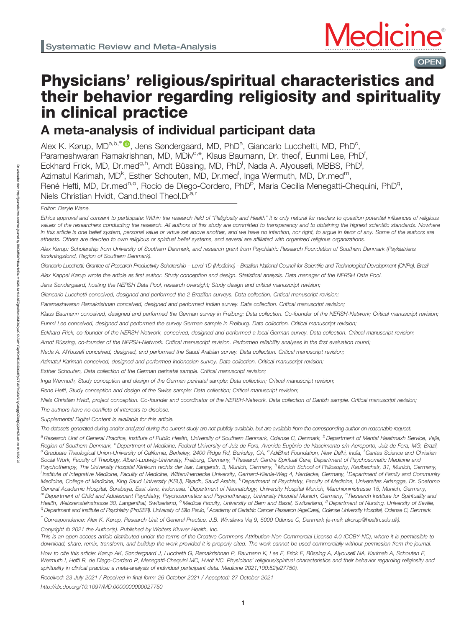

# Physicians' religious/spiritual characteristics and their behavior regarding religiosity and spirituality in clinical practice

A meta-analysis of individual participant data

Alex K. Kørup, MD<sup>a,b,\*</sup> <sup>®</sup>, Jens Søndergaard, MD, PhD<sup>a</sup>, Giancarlo Lucchetti, MD, PhD<sup>c</sup>, Parameshwaran Ramakrishnan, MD, MDiv<sup>d,e</sup>, Klaus Baumann, Dr. theol<sup>f</sup>, Eunmi Lee, PhD<sup>f</sup>, Eckhard Frick, MD, Dr.med<sup>g,h</sup>, Arndt Büssing, MD, PhD<sup>i</sup>, Nada A. Alyousefi, MBBS, PhD<sup>j</sup>, Azimatul Karimah, MD<sup>k</sup>, Esther Schouten, MD, Dr.med<sup>l</sup>, Inga Wermuth, MD, Dr.med<sup>m</sup>, René Hefti, MD, Dr.med<sup>n,o</sup>, Rocío de Diego-Cordero, PhD<sup>p</sup>, Maria Cecilia Menegatti-Chequini, PhD<sup>q</sup>, Niels Christian Hvidt, Cand.theol Theol.Dr<sup>a,r</sup>

Editor: Daryle Wane.

Ethics approval and consent to participate: Within the research field of "Religiosity and Health" it is only natural for readers to question potential influences of religious values of the researchers conducting the research. All authors of this study are committed to transparency and to obtaining the highest scientific standards. Nowhere in this article is one belief system, personal value or virtue set above another, and we have no intention, nor right, to argue in favor of any. Some of the authors are atheists. Others are devoted to own religious or spiritual belief systems, and several are affiliated with organized religious organizations.

Alex Kørup: Scholarship from University of Southern Denmark, and research grant from Psychiatric Research Foundation of Southern Denmark (Psykiatriens forskningsfond, Region of Southern Denmark).

Giancarlo Lucchetti: Grantee of Research Productivity Scholarship – Level 1D (Medicine) - Brazilian National Council for Scientific and Technological Development (CNPq), Brazil

Alex Kappel Kørup wrote the article as first author. Study conception and design. Statistical analysis. Data manager of the NERSH Data Pool.

Jens Søndergaard, hosting the NERSH Data Pool, research oversight; Study design and critical manuscript revision;

Giancarlo Lucchetti conceived, designed and performed the 2 Brazilian surveys. Data collection. Critical manuscript revision;

Parameshwaran Ramakrishnan conceived, designed and performed Indian survey. Data collection. Critical manuscript revision;

Klaus Baumann conceived, designed and performed the German survey in Freiburg: Data collection. Co-founder of the NERSH-Network; Critical manuscript revision;

Eunmi Lee conceived, designed and performed the survey German sample in Freiburg. Data collection. Critical manuscript revision;

Eckhard Frick, co-founder of the NERSH-Network, conceived, designed and performed a local German survey. Data collection. Critical manuscript revision;

Arndt Büssing, co-founder of the NERSH-Network. Critical manuscript revision. Performed reliability analyses in the first evaluation round;

Nada A. AlYousefi conceived, designed, and performed the Saudi Arabian survey. Data collection. Critical manuscript revision;

Azimatul Karimah conceived, designed and performed Indonesian survey. Data collection. Critical manuscript revision;

Esther Schouten, Data collection of the German perinatal sample. Critical manuscript revision;

Inga Wermuth, Study conception and design of the German perinatal sample; Data collection; Critical manuscript revision;

Rene Hefti, Study conception and design of the Swiss sample; Data collection; Critical manuscript revision;

Niels Christian Hvidt, project conception. Co-founder and coordinator of the NERSH-Network. Data collection of Danish sample. Critical manuscript revision;

The authors have no conflicts of interests to disclose.

Supplemental Digital Content is available for this article.

The datasets generated during and/or analyzed during the current study are not publicly available, but are available from the corresponding author on reasonable request.

a Research Unit of General Practice, Institute of Public Health, University of Southern Denmark, Odense C, Denmark, <sup>b</sup> Department of Mental Healtmaxh Service, Vejle, Region of Southern Denmark, <sup>c</sup> Department of Medicine, Federal University of Juiz de Fora, Avenida Eugênio de Nascimento s/n-Aeroporto, Juiz de Fora, MG, Brazil, <sup>d</sup> Graduate Theological Union-University of California, Berkeley, 2400 Ridge Rd, Berkeley, CA, <sup>e</sup>AdiBhat Foundation, New Delhi, India, <sup>f</sup>Caritas Science and Christian Social Work, Faculty of Theology, Albert-Ludwig-University, Freiburg, Germany, <sup>g</sup> Research Centre Spiritual Care, Department of Psychosomatic Medicine and Psychotherapy, The University Hospital Klinikum rechts der Isar, Langerstr, 3, Munich, Germany, <sup>h</sup> Munich School of Philosophy, Kaulbachstr, 31, Munich, Germany, i Institute of Integrative Medicine, Faculty of Medicine, Witten/Herdecke University, Gerhard-Kienle-Weg 4, Herdecke, Germany, <sup>i</sup> Department of Family and Community Medicine, College of Medicine, King Saud University (KSU), Riyadh, Saudi Arabia, KDepartment of Psychiatry, Faculty of Medicine, Universitas Airlangga, Dr. Soetomo General Academic Hospital, Surabaya, East Java, Indonesia, <sup>I</sup> Department of Neonatology, University Hospital Munich, Marchioninistrasse 15, Munich, Germany, m Department of Child and Adolescent Psychiatry, Psychosomatics and Psychotherapy, University Hospital Munich, Germany, <sup>n</sup>Research Institute for Spirituality and Health, Weissensteinstrasse 30, Langenthal, Switzerland, <sup>o</sup> Medical Faculty, University of Bern and Basel, Switzerland, <sup>p</sup> Department of Nursing. University of Seville, a Department and Institute of Psychiatry (ProSER). University of São Paulo, <sup>r</sup> Academy of Geriatric Cancer Research (AgeCare), Odense University Hospital, Odense C, Denmark.

∗ Correspondence: Alex K. Kørup, Research Unit of General Practice, J.B. Winsløws Vej 9, 5000 Odense C, Denmark (e-mail: [akorup@health.sdu.dk](mailto:akorup@health.sdu.dk)).

Copyright © 2021 the Author(s). Published by Wolters Kluwer Health, Inc.

This is an open access article distributed under the terms of the Creative Commons Attribution-Non Commercial License 4.0 (CCBY-NC), where it is permissible to download, share, remix, transform, and buildup the work provided it is properly cited. The work cannot be used commercially without permission from the journal.

How to cite this article: Kørup AK, Søndergaard J, Lucchetti G, Ramakrishnan P, Baumann K, Lee E, Frick E, Büssing A, Alyousefi NA, Karimah A, Schouten E, Wermuth I, Hefti R, de Diego-Cordero R, Menegatti-Chequini MC, Hvidt NC. Physicians' religious/spiritual characteristics and their behavior regarding religiosity and spirituality in clinical practice: a meta-analysis of individual participant data. Medicine 2021;100:52(e27750).

Received: 23 July 2021 / Received in final form: 26 October 2021 / Accepted: 27 October 2021

<http://dx.doi.org/10.1097/MD.0000000000027750>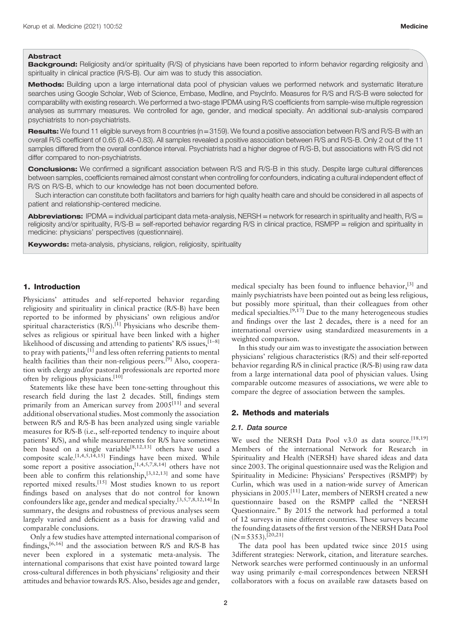#### Abstract

Background: Religiosity and/or spirituality (R/S) of physicians have been reported to inform behavior regarding religiosity and spirituality in clinical practice (R/S-B). Our aim was to study this association.

Methods: Building upon a large international data pool of physician values we performed network and systematic literature searches using Google Scholar, Web of Science, Embase, Medline, and PsycInfo. Measures for R/S and R/S-B were selected for comparability with existing research. We performed a two-stage IPDMA using R/S coefficients from sample-wise multiple regression analyses as summary measures. We controlled for age, gender, and medical specialty. An additional sub-analysis compared psychiatrists to non-psychiatrists.

Results: We found 11 eligible surveys from 8 countries (n=3159). We found a positive association between R/S and R/S-B with an overall R/S coefficient of 0.65 (0.48–0.83). All samples revealed a positive association between R/S and R/S-B. Only 2 out of the 11 samples differed from the overall confidence interval. Psychiatrists had a higher degree of R/S-B, but associations with R/S did not differ compared to non-psychiatrists.

Conclusions: We confirmed a significant association between R/S and R/S-B in this study. Despite large cultural differences between samples, coefficients remained almost constant when controlling for confounders, indicating a cultural independent effect of R/S on R/S-B, which to our knowledge has not been documented before.

Such interaction can constitute both facilitators and barriers for high quality health care and should be considered in all aspects of patient and relationship-centered medicine.

Abbreviations: IPDMA = individual participant data meta-analysis, NERSH = network for research in spirituality and health, R/S = religiosity and/or spirituality, R/S-B = self-reported behavior regarding R/S in clinical practice, RSMPP = religion and spirituality in medicine: physicians' perspectives (questionnaire).

Keywords: meta-analysis, physicians, religion, religiosity, spirituality

#### 1. Introduction

Physicians' attitudes and self-reported behavior regarding religiosity and spirituality in clinical practice (R/S-B) have been reported to be informed by physicians' own religious and/or spiritual characteristics  $(R/S)$ .<sup>[1]</sup> Physicians who describe themselves as religious or spiritual have been linked with a higher likelihood of discussing and attending to patients' R/S issues,  $[1-8]$ to pray with patients, $^{[1]}$  and less often referring patients to mental health facilities than their non-religious peers.<sup>[9]</sup> Also, cooperation with clergy and/or pastoral professionals are reported more often by religious physicians.<sup>[10]</sup>

Statements like these have been tone-setting throughout this research field during the last 2 decades. Still, findings stem primarily from an American survey from 2005<sup>[11]</sup> and several additional observational studies. Most commonly the association between R/S and R/S-B has been analyzed using single variable measures for R/S-B (i.e., self-reported tendency to inquire about patients' R/S), and while measurements for R/S have sometimes been based on a single variable<sup>[8,12,13]</sup> others have used a composite scale.<sup>[1,4,5,14,15]</sup> Findings have been mixed. While some report a positive association,<sup>[1,4,5,7,8,14]</sup> others have not been able to confirm this relationship,<sup>[3,12,13]</sup> and some have reported mixed results.[15] Most studies known to us report findings based on analyses that do not control for known confounders like age, gender and medical specialty.[3,5,7,8,12,14] In summary, the designs and robustness of previous analyses seem largely varied and deficient as a basis for drawing valid and comparable conclusions.

Only a few studies have attempted international comparison of findings,[6,16] and the association between R/S and R/S-B has never been explored in a systematic meta-analysis. The international comparisons that exist have pointed toward large cross-cultural differences in both physicians' religiosity and their attitudes and behavior towards R/S. Also, besides age and gender, medical specialty has been found to influence behavior,<sup>[3]</sup> and mainly psychiatrists have been pointed out as being less religious, but possibly more spiritual, than their colleagues from other medical specialties.<sup>[9,17]</sup> Due to the many heterogeneous studies and findings over the last 2 decades, there is a need for an international overview using standardized measurements in a weighted comparison.

In this study our aim was to investigate the association between physicians' religious characteristics (R/S) and their self-reported behavior regarding R/S in clinical practice (R/S-B) using raw data from a large international data pool of physician values. Using comparable outcome measures of associations, we were able to compare the degree of association between the samples.

#### 2. Methods and materials

#### 2.1. Data source

We used the NERSH Data Pool v3.0 as data source.<sup>[18,19]</sup> Members of the international Network for Research in Spirituality and Health (NERSH) have shared ideas and data since 2003. The original questionnaire used was the Religion and Spirituality in Medicine: Physicians' Perspectives (RSMPP) by Curlin, which was used in a nation-wide survey of American physicians in 2005.<sup>[11]</sup> Later, members of NERSH created a new questionnaire based on the RSMPP called the "NERSH Questionnaire." By 2015 the network had performed a total of 12 surveys in nine different countries. These surveys became the founding datasets of the first version of the NERSH Data Pool  $(N=5353).$ <sup>[20,21]</sup>

The data pool has been updated twice since 2015 using 3different strategies: Network, citation, and literature searches. Network searches were performed continuously in an unformal way using primarily e-mail correspondences between NERSH collaborators with a focus on available raw datasets based on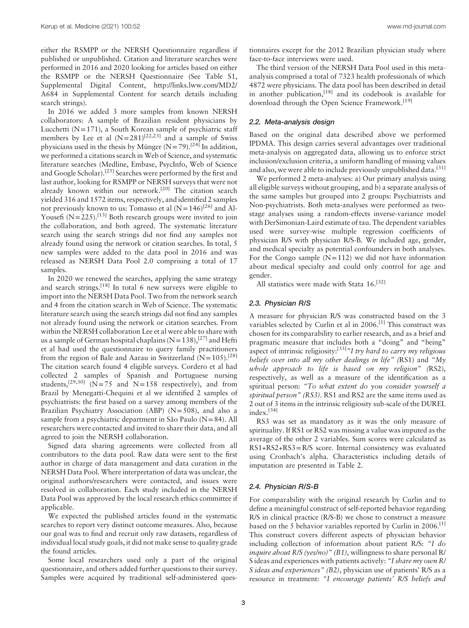either the RSMPP or the NERSH Questionnaire regardless if published or unpublished. Citation and literature searches were performed in 2016 and 2020 looking for articles based on either the RSMPP or the NERSH Questionnaire (See Table S1, Supplemental Digital Content, [http://links.lww.com/MD2/](http://links.lww.com/MD2/A684) [A684](http://links.lww.com/MD2/A684) in Supplemental Content for search details including search strings).

In 2016 we added 3 more samples from known NERSH collaborators: A sample of Brazilian resident physicians by Lucchetti  $(N=171)$ , a South Korean sample of psychiatric staff members by Lee et al  $(N=281)^{[22,23]}$  and a sample of Swiss physicians used in the thesis by Münger (N=79).<sup>[24]</sup> In addition. we performed a citations search in Web of Science, and systematic literature searches (Medline, Embase, PsycInfo, Web of Science and Google Scholar).[25] Searches were performed by the first and last author, looking for RSMPP or NERSH surveys that were not already known within our network.<sup>[20]</sup> The citation search yielded 316 and 1572 items, respectively, and identified 2 samples not previously known to us: Tomasso et al  $(N=146)^{[26]}$  and Al-Yousefi  $(N=225)$ .<sup>[13]</sup> Both research groups were invited to join the collaboration, and both agreed. The systematic literature search using the search strings did not find any samples not already found using the network or citation searches. In total, 5 new samples were added to the data pool in 2016 and was released as NERSH Data Pool 2.0 comprising a total of 17 samples.

In 2020 we renewed the searches, applying the same strategy and search strings.[18] In total 6 new surveys were eligible to import into the NERSH Data Pool. Two from the network search and 4 from the citation search in Web of Science. The systematic literature search using the search strings did not find any samples not already found using the network or citation searches. From within the NERSH collaboration Lee et al were able to share with us a sample of German hospital chaplains  $(N=138),$ <sup>[27]</sup> and Hefti et al had used the questionnaire to query family practitioners from the region of Bale and Aarau in Switzerland  $(N=105)$ .<sup>[28]</sup> The citation search found 4 eligible surveys. Cordero et al had collected 2 samples of Spanish and Portuguese nursing students,<sup>[29,30]</sup> ( $N=75$  and  $N=158$  respectively), and from Brazil by Menegatti-Chequini et al we identified 2 samples of psychiatrists: the first based on a survey among members of the Brazilian Psychiatry Association (ABP) (N=508), and also a sample from a psychiatric department in São Paulo (N=84). All researchers were contacted and invited to share their data, and all agreed to join the NERSH collaboration.

Signed data sharing agreements were collected from all contributors to the data pool. Raw data were sent to the first author in charge of data management and data curation in the NERSH Data Pool. Where interpretation of data was unclear, the original authors/researchers were contacted, and issues were resolved in collaboration. Each study included in the NERSH Data Pool was approved by the local research ethics committee if applicable.

We expected the published articles found in the systematic searches to report very distinct outcome measures. Also, because our goal was to find and recruit only raw datasets, regardless of individual local study goals, it did not make sense to quality grade the found articles.

Some local researchers used only a part of the original questionnaire, and others added further questions to their survey. Samples were acquired by traditional self-administered questionnaires except for the 2012 Brazilian physician study where face-to-face interviews were used.

The third version of the NERSH Data Pool used in this metaanalysis comprised a total of 7323 health professionals of which 4872 were physicians. The data pool has been described in detail in another publication,[18] and its codebook is available for download through the Open Science Framework.<sup>[19]</sup>

## 2.2. Meta-analysis design

Based on the original data described above we performed IPDMA. This design carries several advantages over traditional meta-analysis on aggregated data, allowing us to enforce strict inclusion/exclusion criteria, a uniform handling of missing values and also, we were able to include previously unpublished data.<sup>[31]</sup>

We performed 2 meta-analyses: a) Our primary analysis using all eligible surveys without grouping, and b) a separate analysis of the same samples but grouped into 2 groups: Psychiatrists and Non-psychiatrists. Both meta-analyses were performed as twostage analyses using a random-effects inverse-variance model with DerSimonian-Laird estimate of tau. The dependent variables used were survey-wise multiple regression coefficients of physician R/S with physician R/S-B. We included age, gender, and medical specialty as potential confounders in both analyses. For the Congo sample  $(N=112)$  we did not have information about medical specialty and could only control for age and gender.

All statistics were made with Stata 16.<sup>[32]</sup>

#### 2.3. Physician R/S

A measure for physician R/S was constructed based on the 3 variables selected by Curlin et al in  $2006$ .<sup>[1]</sup> This construct was chosen for its comparability to earlier research, and as a brief and pragmatic measure that includes both a "doing" and "being" aspect of intrinsic religiosity:  $[33]$ <sup>"</sup>I try hard to carry my religious beliefs over into all my other dealings in life" (RS1) and "My whole approach to life is based on my religion" (RS2), respectively, as well as a measure of the identification as a spiritual person: "To what extent do you consider yourself a spiritual person" (RS3). RS1 and RS2 are the same items used as 2 out of 3 items in the intrinsic religiosity sub-scale of the DUREL index.[34]

RS3 was set as mandatory as it was the only measure of spirituality. If RS1 or RS2 was missing a value was imputed as the average of the other 2 variables. Sum scores were calculated as RS1+RS2+RS3=R/S score. Internal consistency was evaluated using Cronbach's alpha. Characteristics including details of imputation are presented in Table 2.

#### 2.4. Physician R/S-B

For comparability with the original research by Curlin and to define a meaningful construct of self-reported behavior regarding R/S in clinical practice (R/S-B) we chose to construct a measure based on the 5 behavior variables reported by Curlin in 2006.<sup>[1]</sup> This construct covers different aspects of physician behavior including collection of information about patient R/S: "I do *inquire about R/S (yes/no)*" *(B1)*, willingness to share personal R/ S ideas and experiences with patients actively: "I share my own R/ S ideas and experiences" (B2), physician use of patients' R/S as a resource in treatment: "I encourage patients' R/S beliefs and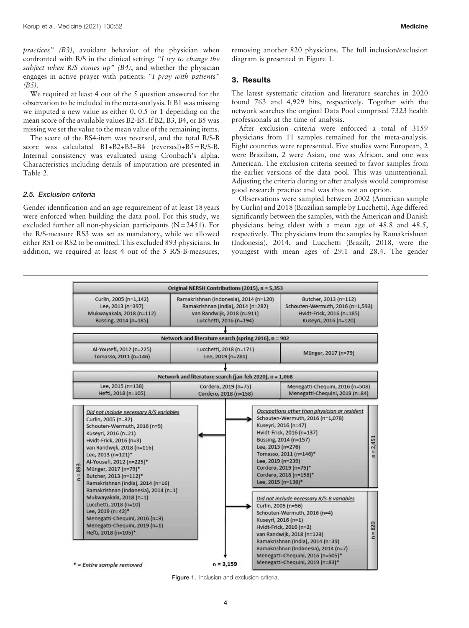practices" (B3), avoidant behavior of the physician when confronted with R/S in the clinical setting: "I try to change the subject when R/S comes  $up$ " (B4), and whether the physician engages in active prayer with patients: "I pray with patients"  $(B5)$ .

We required at least 4 out of the 5 question answered for the observation to be included in the meta-analysis. If B1 was missing we imputed a new value as either 0, 0.5 or 1 depending on the mean score of the available values B2-B5. If B2, B3, B4, or B5 was missing we set the value to the mean value of the remaining items.

The score of the BS4-item was reversed, and the total R/S-B score was calculated  $B1+B2+B3+B4$  (reversed)+ $B5=R/S-B$ . Internal consistency was evaluated using Cronbach's alpha. Characteristics including details of imputation are presented in Table 2.

#### 2.5. Exclusion criteria

Gender identification and an age requirement of at least 18 years were enforced when building the data pool. For this study, we excluded further all non-physician participants (N=2451). For the R/S-measure RS3 was set as mandatory, while we allowed either RS1 or RS2 to be omitted. This excluded 893 physicians. In addition, we required at least 4 out of the 5 R/S-B-measures,

removing another 820 physicians. The full inclusion/exclusion diagram is presented in Figure 1.

# 3. Results

The latest systematic citation and literature searches in 2020 found 763 and 4,929 hits, respectively. Together with the network searches the original Data Pool comprised 7323 health professionals at the time of analysis.

After exclusion criteria were enforced a total of 3159 physicians from 11 samples remained for the meta-analysis. Eight countries were represented. Five studies were European, 2 were Brazilian, 2 were Asian, one was African, and one was American. The exclusion criteria seemed to favor samples from the earlier versions of the data pool. This was unintentional. Adjusting the criteria during or after analysis would compromise good research practice and was thus not an option.

Observations were sampled between 2002 (American sample by Curlin) and 2018 (Brazilian sample by Lucchetti). Age differed significantly between the samples, with the American and Danish physicians being eldest with a mean age of 48.8 and 48.5, respectively. The physicians from the samples by Ramakrishnan (Indonesia), 2014, and Lucchetti (Brazil), 2018, were the youngest with mean ages of 29.1 and 28.4. The gender



Figure 1. Inclusion and exclusion criteria.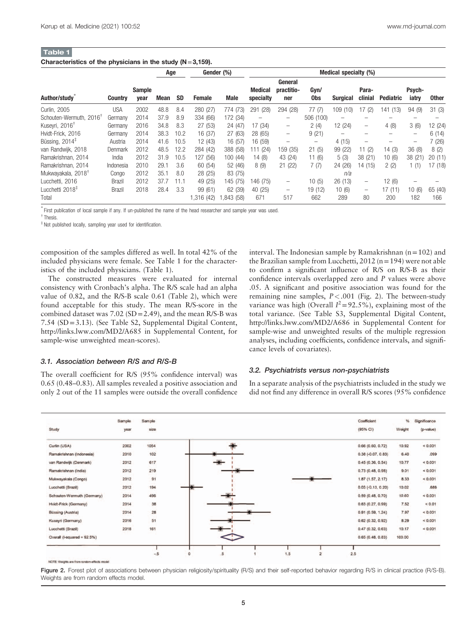#### Table 1 Characteristics of the physicians in the study  $(N=3,159)$ .

| Author/study                        | <b>Country</b> | <b>Sample</b><br>year | Age  |      | Gender (%) |             | Medical specialty (%)       |                              |             |                 |                          |                          |                          |              |
|-------------------------------------|----------------|-----------------------|------|------|------------|-------------|-----------------------------|------------------------------|-------------|-----------------|--------------------------|--------------------------|--------------------------|--------------|
|                                     |                |                       | Mean | SD   | Female     | <b>Male</b> | <b>Medical</b><br>specialty | General<br>practitio-<br>ner | Gyn/<br>0bs | <b>Surgical</b> | Para-<br>clinial         | <b>Pediatric</b>         | Psych-<br>iatry          | <b>Other</b> |
| Curlin, 2005                        | <b>USA</b>     | 2002                  | 48.8 | 8.4  | 280 (27)   | 774 (73)    | (28)<br>291                 | 294 (28)                     | 77(7)       | 109 (10)        | 17<br>(2)                | 141 (13)                 | 94(9)                    | 31(3)        |
| Schouten-Wermuth, 2016 <sup>T</sup> | Germanv        | 2014                  | 37.9 | 8.9  | 334 (66)   | 172 (34)    | -                           | -                            | 506 (100)   | -               |                          |                          |                          |              |
| Kuseyri, 2016 <sup>†</sup>          | Germany        | 2016                  | 34.8 | 8.3  | 27 (53)    | 24(47)      | 17 (34)                     | -                            | 2(4)        | 12 (24)         | -                        | 4(8)                     | 3(6)                     | 12 (24)      |
| Hvidt-Frick, 2016                   | Germany        | 2014                  | 38.3 | 10.2 | 16 (37)    | 27 (63)     | 28 (65)                     | -                            | 9(21)       | -               |                          | $\overline{\phantom{a}}$ | -                        | 6(14)        |
| Büssing, $2014$ <sup>#</sup>        | Austria        | 2014                  | 41.6 | 10.5 | 12 (43)    | 16 (57)     | 16 (59)                     | -                            | -           | 4(15)           | $\overline{\phantom{0}}$ |                          | $\overline{\phantom{a}}$ | 7(26)        |
| van Randwijk, 2018                  | Denmark        | 2012                  | 48.5 | 12.2 | 284 (42)   | 388 (58)    | 111 (24)                    | 159 (35)                     | 21(5)       | 99 (22)         | 11 $(2)$                 | 14 (3)                   | 36(8)                    | 8(2)         |
| Ramakrishnan, 2014                  | India          | 2012                  | 31.9 | 10.5 | 127 (56)   | 100(44)     | 14(8)                       | 43 (24)                      | 11 (6)      | 5(3)            | 38 (21)                  | 10(6)                    | 38(21)                   | 20(11)       |
| Ramakrishnan, 2014                  | Indonesia      | 2010                  | 29.1 | 3.6  | 60 (54)    | 52 (46)     | 8(9)                        | 21(22)                       | 7(7)        | 24 (26)         | 14 (15)                  | 2(2)                     | 1(1)                     | 17 (18)      |
| Mukwayakala, 2018 <sup>†</sup>      | Congo          | 2012                  | 35.1 | 8.0  | 28 (25)    | 83 (75)     |                             |                              |             | n/a             |                          |                          |                          |              |
| Lucchetti, 2016                     | <b>Brazil</b>  | 2012                  | 37.7 | 11.1 | 49 (25)    | 145 (75)    | 146 (75)                    | -                            | 10(5)       | 26(13)          | -                        | 12(6)                    |                          |              |
| Lucchetti 2018 <sup>#</sup>         | <b>Brazil</b>  | 2018                  | 28.4 | 3.3  | 99 (61)    | 62 (39)     | 40 (25)                     | -                            | 19 (12)     | 10(6)           | -                        | 17(11)                   | 10(6)                    | 65 (40)      |
| Total                               |                |                       |      |      | ,316 (42)  | ,843 (58)   | 671                         | 517                          | 662         | 289             | 80                       | 200                      | 182                      | 166          |

∗ First publication of local sample if any. If un-published the name of the head researcher and sample year was used.

† Thesis.

‡ Not published locally, sampling year used for identification.

composition of the samples differed as well. In total 42% of the included physicians were female. See Table 1 for the characteristics of the included physicians. (Table 1).

The constructed measures were evaluated for internal consistency with Cronbach's alpha. The R/S scale had an alpha value of 0.82, and the R/S-B scale 0.61 (Table 2), which were found acceptable for this study. The mean R/S-score in the combined dataset was 7.02 (SD=2.49), and the mean R/S-B was 7.54 (SD=3.13). (See Table S2, Supplemental Digital Content, <http://links.lww.com/MD2/A685> in Supplemental Content, for sample-wise unweighted mean-scores).

#### 3.1. Association between R/S and R/S-B

The overall coefficient for R/S (95% confidence interval) was 0.65 (0.48–0.83). All samples revealed a positive association and only 2 out of the 11 samples were outside the overall confidence interval. The Indonesian sample by Ramakrishnan (n=102) and the Brazilian sample from Lucchetti,  $2012$  (n = 194) were not able to confirm a significant influence of R/S on R/S-B as their confidence intervals overlapped zero and P values were above .05. A significant and positive association was found for the remaining nine samples,  $P < .001$  (Fig. 2). The between-study variance was high (Overall  $I^2 = 92.5\%$ ), explaining most of the total variance. (See Table S3, Supplemental Digital Content, <http://links.lww.com/MD2/A686> in Supplemental Content for sample-wise and unweighted results of the multiple regression analyses, including coefficients, confidence intervals, and significance levels of covariates).

#### 3.2. Psychiatrists versus non-psychiatrists

In a separate analysis of the psychiatrists included in the study we did not find any difference in overall R/S scores (95% confidence



NOTE: Weights are from random-effects model

Figure 2. Forest plot of associations between physician religiosity/spirituality (R/S) and their self-reported behavior regarding R/S in clinical practice (R/S-B). Weights are from random effects model.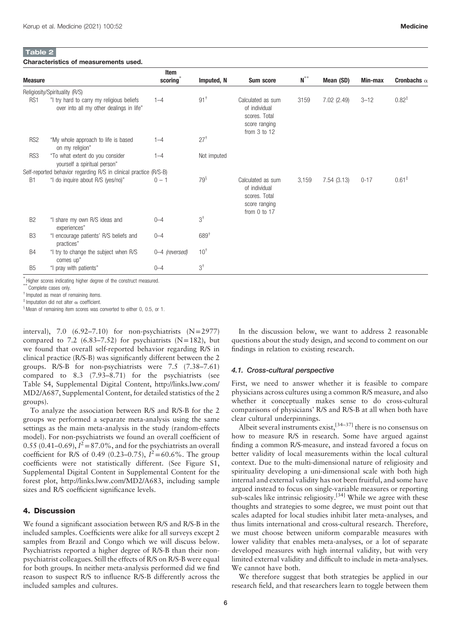# Table 2

#### Characteristics of measurements used.

| <b>Measure</b>   |                                                                                       | Item<br>scoring | Imputed, N      | <b>Sum score</b>                                                                         | $\textbf{N}^{\ast\ast}$ | Mean (SD)   | Min-max  | Cronbachs $\alpha$ |
|------------------|---------------------------------------------------------------------------------------|-----------------|-----------------|------------------------------------------------------------------------------------------|-------------------------|-------------|----------|--------------------|
|                  | Religiosity/Spirituality (R/S)                                                        |                 |                 |                                                                                          |                         |             |          |                    |
| R <sub>S</sub> 1 | "I try hard to carry my religious beliefs<br>over into all my other dealings in life" | $1 - 4$         | $91^{\dagger}$  | Calculated as sum<br>of individual<br>scores. Total<br>score ranging<br>from $3$ to $12$ | 3159                    | 7.02 (2.49) | $3 - 12$ | $0.82^{*}$         |
| RS <sub>2</sub>  | "My whole approach to life is based<br>on my religion"                                | $1 - 4$         | $27^{\dagger}$  |                                                                                          |                         |             |          |                    |
| RS3              | "To what extent do you consider<br>yourself a spiritual person"                       | $1 - 4$         | Not imputed     |                                                                                          |                         |             |          |                    |
|                  | Self-reported behavior regarding R/S in clinical practice (R/S-B)                     |                 |                 |                                                                                          |                         |             |          |                    |
| B <sub>1</sub>   | "I do inquire about R/S (yes/no)"                                                     | $0 - 1$         | $79^{\S}$       | Calculated as sum<br>of individual<br>scores. Total<br>score ranging<br>from $0$ to $17$ | 3,159                   | 7.54(3.13)  | $0 - 17$ | $0.61^{\ddagger}$  |
| B <sub>2</sub>   | "I share my own R/S ideas and<br>experiences"                                         | $0 - 4$         | $3^\dagger$     |                                                                                          |                         |             |          |                    |
| B <sub>3</sub>   | "I encourage patients' R/S beliefs and<br>practices"                                  | $0 - 4$         | $689^{\dagger}$ |                                                                                          |                         |             |          |                    |
| <b>B4</b>        | "I try to change the subject when R/S<br>comes up"                                    | 0-4 (reversed)  | $10^{\dagger}$  |                                                                                          |                         |             |          |                    |
| B <sub>5</sub>   | "I pray with patients"                                                                | $0 - 4$         | $3^{\dagger}$   |                                                                                          |                         |             |          |                    |

Complete cases only.

† Imputed as mean of remaining items.

 $^{\ddagger}$  Imputation did not alter  $\alpha$  coefficient.

<sup>8</sup> Mean of remaining item scores was converted to either 0, 0.5, or 1.

interval), 7.0  $(6.92-7.10)$  for non-psychiatrists  $(N=2977)$ compared to 7.2 (6.83–7.52) for psychiatrists ( $N=182$ ), but we found that overall self-reported behavior regarding R/S in clinical practice (R/S-B) was significantly different between the 2 groups. R/S-B for non-psychiatrists were 7.5 (7.38–7.61) compared to 8.3 (7.93–8.71) for the psychiatrists (see Table S4, Supplemental Digital Content, [http://links.lww.com/](http://links.lww.com/MD2/A687) [MD2/A687](http://links.lww.com/MD2/A687), Supplemental Content, for detailed statistics of the 2 groups).

To analyze the association between R/S and R/S-B for the 2 groups we performed a separate meta-analysis using the same settings as the main meta-analysis in the study (random-effects model). For non-psychiatrists we found an overall coefficient of 0.55 (0.41–0.69),  $I^2 = 87.0\%$ , and for the psychiatrists an overall coefficient for R/S of 0.49 (0.23–0.75),  $\tilde{l}^2$  = 60.6%. The group coefficients were not statistically different. (See Figure S1, Supplemental Digital Content in Supplemental Content for the forest plot,<http://links.lww.com/MD2/A683>, including sample sizes and R/S coefficient significance levels.

# 4. Discussion

We found a significant association between R/S and R/S-B in the included samples. Coefficients were alike for all surveys except 2 samples from Brazil and Congo which we will discuss below. Psychiatrists reported a higher degree of R/S-B than their nonpsychiatrist colleagues. Still the effects of R/S on R/S-B were equal for both groups. In neither meta-analysis performed did we find reason to suspect R/S to influence R/S-B differently across the included samples and cultures.

In the discussion below, we want to address 2 reasonable questions about the study design, and second to comment on our findings in relation to existing research.

#### 4.1. Cross-cultural perspective

First, we need to answer whether it is feasible to compare physicians across cultures using a common R/S measure, and also whether it conceptually makes sense to do cross-cultural comparisons of physicians' R/S and R/S-B at all when both have clear cultural underpinnings.

Albeit several instruments exist,  $[34-37]$  there is no consensus on how to measure R/S in research. Some have argued against finding a common R/S-measure, and instead favored a focus on better validity of local measurements within the local cultural context. Due to the multi-dimensional nature of religiosity and spirituality developing a uni-dimensional scale with both high internal and external validity has not been fruitful, and some have argued instead to focus on single-variable measures or reporting sub-scales like intrinsic religiosity.<sup>[34]</sup> While we agree with these thoughts and strategies to some degree, we must point out that scales adapted for local studies inhibit later meta-analyses, and thus limits international and cross-cultural research. Therefore, we must choose between uniform comparable measures with lower validity that enables meta-analyses, or a lot of separate developed measures with high internal validity, but with very limited external validity and difficult to include in meta-analyses. We cannot have both.

We therefore suggest that both strategies be applied in our research field, and that researchers learn to toggle between them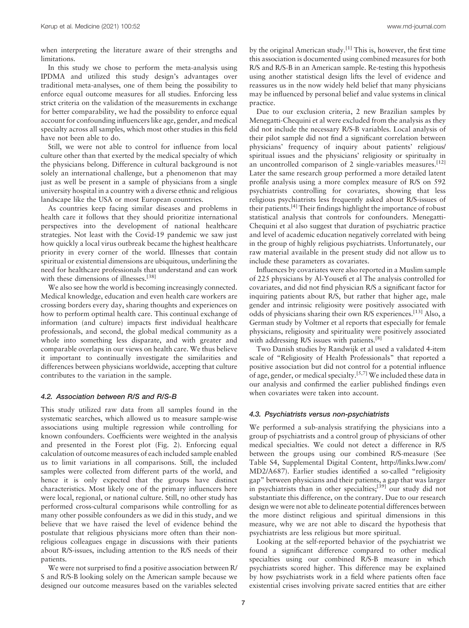when interpreting the literature aware of their strengths and limitations.

In this study we chose to perform the meta-analysis using IPDMA and utilized this study design's advantages over traditional meta-analyses, one of them being the possibility to enforce equal outcome measures for all studies. Enforcing less strict criteria on the validation of the measurements in exchange for better comparability, we had the possibility to enforce equal account for confounding influencers like age, gender, and medical specialty across all samples, which most other studies in this field have not been able to do.

Still, we were not able to control for influence from local culture other than that exerted by the medical specialty of which the physicians belong. Difference in cultural background is not solely an international challenge, but a phenomenon that may just as well be present in a sample of physicians from a single university hospital in a country with a diverse ethnic and religious landscape like the USA or most European countries.

As countries keep facing similar diseases and problems in health care it follows that they should prioritize international perspectives into the development of national healthcare strategies. Not least with the Covid-19 pandemic we saw just how quickly a local virus outbreak became the highest healthcare priority in every corner of the world. Illnesses that contain spiritual or existential dimensions are ubiquitous, underlining the need for healthcare professionals that understand and can work with these dimensions of illnesses.<sup>[38]</sup>

We also see how the world is becoming increasingly connected. Medical knowledge, education and even health care workers are crossing borders every day, sharing thoughts and experiences on how to perform optimal health care. This continual exchange of information (and culture) impacts first individual healthcare professionals, and second, the global medical community as a whole into something less disparate, and with greater and comparable overlaps in our views on health care. We thus believe it important to continually investigate the similarities and differences between physicians worldwide, accepting that culture contributes to the variation in the sample.

#### 4.2. Association between R/S and R/S-B

This study utilized raw data from all samples found in the systematic searches, which allowed us to measure sample-wise associations using multiple regression while controlling for known confounders. Coefficients were weighted in the analysis and presented in the Forest plot (Fig. 2). Enforcing equal calculation of outcome measures of each included sample enabled us to limit variations in all comparisons. Still, the included samples were collected from different parts of the world, and hence it is only expected that the groups have distinct characteristics. Most likely one of the primary influencers here were local, regional, or national culture. Still, no other study has performed cross-cultural comparisons while controlling for as many other possible confounders as we did in this study, and we believe that we have raised the level of evidence behind the postulate that religious physicians more often than their nonreligious colleagues engage in discussions with their patients about R/S-issues, including attention to the R/S needs of their patients.

We were not surprised to find a positive association between R/ S and R/S-B looking solely on the American sample because we designed our outcome measures based on the variables selected by the original American study.<sup>[1]</sup> This is, however, the first time this association is documented using combined measures for both R/S and R/S-B in an American sample. Re-testing this hypothesis using another statistical design lifts the level of evidence and reassures us in the now widely held belief that many physicians may be influenced by personal belief and value systems in clinical practice.

Due to our exclusion criteria, 2 new Brazilian samples by Menegatti-Chequini et al were excluded from the analysis as they did not include the necessary R/S-B variables. Local analysis of their pilot sample did not find a significant correlation between physicians' frequency of inquiry about patients' religious/ spiritual issues and the physicians' religiosity or spiritualty in an uncontrolled comparison of 2 single-variables measures.<sup>[12]</sup> Later the same research group performed a more detailed latent profile analysis using a more complex measure of R/S on 592 psychiatrists controlling for covariates, showing that less religious psychiatrists less frequently asked about R/S-issues of their patients.[4] Their findings highlight the importance of robust statistical analysis that controls for confounders. Menegatti-Chequini et al also suggest that duration of psychiatric practice and level of academic education negatively correlated with being in the group of highly religious psychiatrists. Unfortunately, our raw material available in the present study did not allow us to include these parameters as covariates.

Influences by covariates were also reported in a Muslim sample of 225 physicians by Al-Yousefi et al The analysis controlled for covariates, and did not find physician R/S a significant factor for inquiring patients about R/S, but rather that higher age, male gender and intrinsic religiosity were positively associated with odds of physicians sharing their own R/S experiences.[13] Also, a German study by Voltmer et al reports that especially for female physicians, religiosity and spirituality were positively associated with addressing R/S issues with patients.<sup>[8]</sup>

Two Danish studies by Randwijk et al used a validated 4-item scale of "Religiosity of Health Professionals" that reported a positive association but did not control for a potential influence of age, gender, or medical specialty.[5,7] We included these data in our analysis and confirmed the earlier published findings even when covariates were taken into account.

# 4.3. Psychiatrists versus non-psychiatrists

We performed a sub-analysis stratifying the physicians into a group of psychiatrists and a control group of physicians of other medical specialties. We could not detect a difference in R/S between the groups using our combined R/S-measure (See Table S4, Supplemental Digital Content, [http://links.lww.com/](http://links.lww.com/MD2/A687) [MD2/A687\)](http://links.lww.com/MD2/A687). Earlier studies identified a so-called "religiosity gap" between physicians and their patients, a gap that was larger in psychiatrists than in other specialties;<sup>[39]</sup> our study did not substantiate this difference, on the contrary. Due to our research design we were not able to delineate potential differences between the more distinct religious and spiritual dimensions in this measure, why we are not able to discard the hypothesis that psychiatrists are less religious but more spiritual.

Looking at the self-reported behavior of the psychiatrist we found a significant difference compared to other medical specialties using our combined R/S-B measure in which psychiatrists scored higher. This difference may be explained by how psychiatrists work in a field where patients often face existential crises involving private sacred entities that are either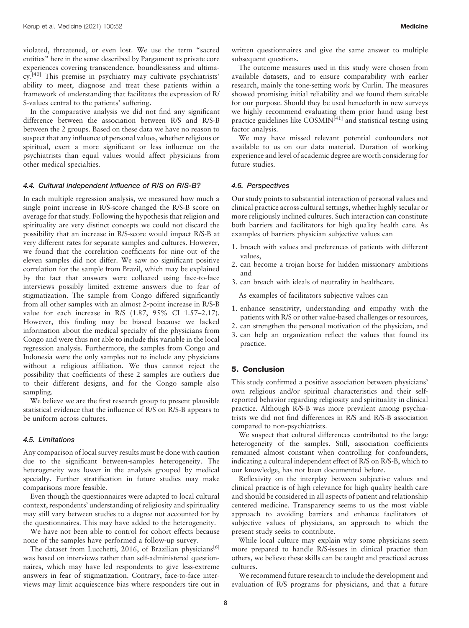violated, threatened, or even lost. We use the term "sacred entities" here in the sense described by Pargament as private core experiences covering transcendence, boundlessness and ultimacy.<sup>[40]</sup> This premise in psychiatry may cultivate psychiatrists' ability to meet, diagnose and treat these patients within a framework of understanding that facilitates the expression of R/ S-values central to the patients' suffering.

In the comparative analysis we did not find any significant difference between the association between R/S and R/S-B between the 2 groups. Based on these data we have no reason to suspect that any influence of personal values, whether religious or spiritual, exert a more significant or less influence on the psychiatrists than equal values would affect physicians from other medical specialties.

#### 4.4. Cultural independent influence of R/S on R/S-B?

In each multiple regression analysis, we measured how much a single point increase in R/S-score changed the R/S-B score on average for that study. Following the hypothesis that religion and spirituality are very distinct concepts we could not discard the possibility that an increase in R/S-score would impact R/S-B at very different rates for separate samples and cultures. However, we found that the correlation coefficients for nine out of the eleven samples did not differ. We saw no significant positive correlation for the sample from Brazil, which may be explained by the fact that answers were collected using face-to-face interviews possibly limited extreme answers due to fear of stigmatization. The sample from Congo differed significantly from all other samples with an almost 2-point increase in R/S-B value for each increase in R/S (1.87, 95% CI 1.57–2.17). However, this finding may be biased because we lacked information about the medical specialty of the physicians from Congo and were thus not able to include this variable in the local regression analysis. Furthermore, the samples from Congo and Indonesia were the only samples not to include any physicians without a religious affiliation. We thus cannot reject the possibility that coefficients of these 2 samples are outliers due to their different designs, and for the Congo sample also sampling.

We believe we are the first research group to present plausible statistical evidence that the influence of R/S on R/S-B appears to be uniform across cultures.

#### 4.5. Limitations

Any comparison of local survey results must be done with caution due to the significant between-samples heterogeneity. The heterogeneity was lower in the analysis grouped by medical specialty. Further stratification in future studies may make comparisons more feasible.

Even though the questionnaires were adapted to local cultural context, respondents' understanding of religiosity and spirituality may still vary between studies to a degree not accounted for by the questionnaires. This may have added to the heterogeneity.

We have not been able to control for cohort effects because none of the samples have performed a follow-up survey.

The dataset from Lucchetti, 2016, of Brazilian physicians<sup>[6]</sup> was based on interviews rather than self-administered questionnaires, which may have led respondents to give less-extreme answers in fear of stigmatization. Contrary, face-to-face interviews may limit acquiescence bias where responders tire out in written questionnaires and give the same answer to multiple subsequent questions.

The outcome measures used in this study were chosen from available datasets, and to ensure comparability with earlier research, mainly the tone-setting work by Curlin. The measures showed promising initial reliability and we found them suitable for our purpose. Should they be used henceforth in new surveys we highly recommend evaluating them prior hand using best practice guidelines like COSMIN<sup>[41]</sup> and statistical testing using factor analysis.

We may have missed relevant potential confounders not available to us on our data material. Duration of working experience and level of academic degree are worth considering for future studies.

#### 4.6. Perspectives

Our study points to substantial interaction of personal values and clinical practice across cultural settings, whether highly secular or more religiously inclined cultures. Such interaction can constitute both barriers and facilitators for high quality health care. As examples of barriers physician subjective values can

- 1. breach with values and preferences of patients with different values,
- 2. can become a trojan horse for hidden missionary ambitions and
- 3. can breach with ideals of neutrality in healthcare.

As examples of facilitators subjective values can

- 1. enhance sensitivity, understanding and empathy with the patients with R/S or other value-based challenges or resources,
- 2. can strengthen the personal motivation of the physician, and
- 3. can help an organization reflect the values that found its practice.

#### 5. Conclusion

This study confirmed a positive association between physicians' own religious and/or spiritual characteristics and their selfreported behavior regarding religiosity and spirituality in clinical practice. Although R/S-B was more prevalent among psychiatrists we did not find differences in R/S and R/S-B association compared to non-psychiatrists.

We suspect that cultural differences contributed to the large heterogeneity of the samples. Still, association coefficients remained almost constant when controlling for confounders, indicating a cultural independent effect of R/S on R/S-B, which to our knowledge, has not been documented before.

Reflexivity on the interplay between subjective values and clinical practice is of high relevance for high quality health care and should be considered in all aspects of patient and relationship centered medicine. Transparency seems to us the most viable approach to avoiding barriers and enhance facilitators of subjective values of physicians, an approach to which the present study seeks to contribute.

While local culture may explain why some physicians seem more prepared to handle R/S-issues in clinical practice than others, we believe these skills can be taught and practiced across cultures.

We recommend future research to include the development and evaluation of R/S programs for physicians, and that a future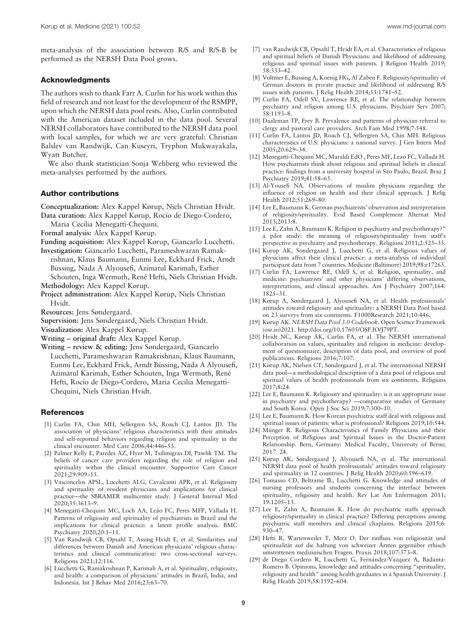meta-analysis of the association between R/S and R/S-B be performed as the NERSH Data Pool grows.

# Acknowledgments

The authors wish to thank Farr A. Curlin for his work within this field of research and not least for the development of the RSMPP, upon which the NERSH data pool rests. Also, Curlin contributed with the American dataset included in the data pool. Several NERSH collaborators have contributed to the NERSH data pool with local samples, for which we are very grateful: Christian Balslev van Randwijk, Can Kuseyri, Tryphon Mukwayakala, Wyatt Butcher.

We also thank statistician Sonja Wehberg who reviewed the meta-analyses performed by the authors.

# Author contributions

Conceptualization: Alex Kappel Kørup, Niels Christian Hvidt. Data curation: Alex Kappel Kørup, Rocío de Diego-Cordero,

Maria Cecilia Menegatti-Chequini.

Formal analysis: Alex Kappel Kørup.

Funding acquisition: Alex Kappel Kørup, Giancarlo Lucchetti. Investigation: Giancarlo Lucchetti, Parameshwaran Ramak-

- rishnan, Klaus Baumann, Eunmi Lee, Eckhard Frick, Arndt Büssing, Nada A Alyousefi, Azimatul Karimah, Esther Schouten, Inga Wermuth, René Hefti, Niels Christian Hvidt.
- Methodology: Alex Kappel Kørup. Project administration: Alex Kappel Kørup, Niels Christian Hvidt.
- Resources: Jens Søndergaard.
- Supervision: Jens Søndergaard, Niels Christian Hvidt.
- Visualization: Alex Kappel Kørup.
- Writing original draft: Alex Kappel Kørup.
- Writing review & editing: Jens Søndergaard, Giancarlo Lucchetti, Parameshwaran Ramakrishnan, Klaus Baumann, Eunmi Lee, Eckhard Frick, Arndt Büssing, Nada A Alyousefi, Azimatul Karimah, Esther Schouten, Inga Wermuth, René Hefti, Rocío de Diego-Cordero, Maria Cecilia Menegatti-Chequini, Niels Christian Hvidt.

# References

- [1] Curlin FA, Chin MH, Sellergren SA, Roach CJ, Lantos JD. The association of physicians' religious characteristics with their attitudes and self-reported behaviors regarding religion and spirituality in the clinical encounter. Med Care 2006;44:446–53.
- [2] Palmer Kelly E, Paredes AZ, Hyer M, Tsilimigras DI, Pawlik TM. The beliefs of cancer care providers regarding the role of religion and spirituality within the clinical encounter. Supportive Care Cancer 2021;29:909–15.
- [3] Vasconcelos APSL, Lucchetti ALG, Cavalcanti APR, et al. Religiosity and spirituality of resident physicians and implications for clinical practice—the SBRAMER multicenter study. J General Internal Med 2020;35:3613–9.
- [4] Menegatti-Chequini MC, Loch AA, Leão FC, Peres MFP, Vallada H. Patterns of religiosity and spirituality of psychiatrists in Brazil and the implications for clinical practice: a latent profile analysis. BMC Psychiatry 2020;20:1–11.
- [5] Van Randwijk CB, Opsahl T, Assing Hvidt E, et al. Similarities and differences between Danish and American physicians' religious characteristics and clinical communication: two cross-sectional surveys. Religions 2021;12:116.
- [6] Lucchetti G, Ramakrishnan P, Karimah A, et al. Spirituality, religiosity, and health: a comparison of physicians' attitudes in Brazil, India, and Indonesia. Int J Behav Med 2016;23:63–70.
- [7] van Randwijk CB, Opsahl T, Hvidt EA, et al. Characteristics of religious and spiritual beliefs of Danish Physicians: and likelihood of addressing religious and spiritual issues with patients. J Religion Health 2019; 58:333–42.
- [8] Voltmer E, Bussing A, Koenig HG, Al Zaben F. Religiosity/spirituality of German doctors in private practice and likelihood of addressing R/S issues with patients. J Relig Health 2014;53:1741–52.
- [9] Curlin FA, Odell SV, Lawrence RE, et al. The relationship between psychiatry and religion among U.S. physicians. Psychiatr Serv 2007; 58:1193–8.
- [10] Daaleman TP, Frey B. Prevalence and patterns of physician referral to clergy and pastoral care providers. Arch Fam Med 1998;7:548.
- [11] Curlin FA, Lantos JD, Roach CJ, Sellergren SA, Chin MH. Religious characteristics of U.S. physicians: a national survey. J Gen Intern Med 2005;20:629–34.
- [12] Menegatti-Chequini MC, Maraldi EdO , Peres MF, Leao FC, Vallada H. How psychiatrists think about religious and spiritual beliefs in clinical practice: findings from a university hospital in Sao Paulo, Brazil. Braz J Psychiatry 2019;41:58–65.
- [13] Al-Yousefi NA. Observations of muslim physicians regarding the influence of religion on health and their clinical approach. J Relig Health 2012;51:269–80.
- [14] Lee E, Baumann K. German psychiatrists' observation and interpretation of religiosity/spirituality. Evid Based Complement Alternat Med 2013;2013:8.
- [15] Lee E, Zahn A, Baumann K. Religion in psychiatry and psychotherapy?" a pilot study: the meaning of religiosity/spirituality from staff's perspective in psychiatry and psychotherapy. Religions 2011;2:525–35.
- [16] Korup AK, Sondergaard J, Lucchetti G, et al. Religious values of physicians affect their clinical practice: a meta-analysis of individual participant data from 7 countries. Medicine (Baltimore) 2019;98:e17265.
- [17] Curlin FA, Lawrence RE, Odell S, et al. Religion, spirituality, and medicine: psychiatrists' and other physicians' differing observations, interpretations, and clinical approaches. Am J Psychiatry 2007;164: 1825–31.
- [18] Kørup A, Søndergaard J, Alyousefi NA, et al. Health professionals' attitudes toward religiosity and spirituality: a NERSH Data Pool based on 23 surveys from six continents. F1000Research 2021;10:446.
- [19] Kørup AK. NERSH Data Pool 3.0 Codebook. Open Science Framework (osr.io)2021. [http://doi.org/10.17605/OSF.IO/J79PT.](http://doi.org/10.17605/OSF.IO/J79PT)
- [20] Hvidt NC, Kørup AK, Curlin FA, et al. The NERSH international collaboration on values, spirituality and religion in medicine: development of questionnaire, description of data pool, and overview of pool publications. Religions 2016;7:107.
- [21] Kørup AK, Nielsen CT, Søndergaard J, et al. The international NERSH data pool—a methodological description of a data pool of religious and spiritual values of health professionals from six continents. Religions 2017;8:24.
- [22] Lee E, Baumann K. Religiosity and spirituality: is it an appropriate issue in psychiatry and psychotherapy? —comparative studies of Germany and South Korea. Open J Soc Sci 2019;7:300–10.
- [23] Lee E, Baumann K. How Korean psychiatric staff deal with religious and spiritual issues of patients: what is professional? Religions 2019;10:544.
- [24] Münger R. Religious Characteristics of Family Physicians and their Perception of Religious and Spiritual Issues in the Doctor-Patient Relationship. Bern, Germany: Medical Faculty, University of Berne; 2017. 24.
- [25] Kørup AK, Søndergaard J, Alyousefi NA, et al. The international NERSH data pool of health professionals' attitudes toward religiosity and spirituality in 12 countries. J Relig Health 2020;60:596–619.
- [26] Tomasso CD, Beltrame IL, Lucchetti G. Knowledge and attitudes of nursing professors and students concerning the interface between spirituality, religiosity and health. Rev Lat Am Enfermagem 2011; 19:1205–13.
- [27] Lee E, Zahn A, Baumann K. How do psychiatric staffs approach religiosity/spirituality in clinical practice? Differing perceptions among psychiatric staff members and clinical chaplains. Religions 2015;6: 930–47.
- [28] Hefti R, Wartenweiler T, Merz O. Der einfluss von religiosität und spiritualität auf die haltung von schweizer Ärzten gegenüber ethisch umstrittenen medizinischen Fragen. Praxis 2018;107:373–8.
- [29] de Diego Cordero R, Lucchetti G, Fernández-Vazquez A, Badanta-Romero B. Opinions, knowledge and attitudes concerning "spirituality, religiosity and health" among health graduates in a Spanish University. J Relig Health 2019;58:1592–604.